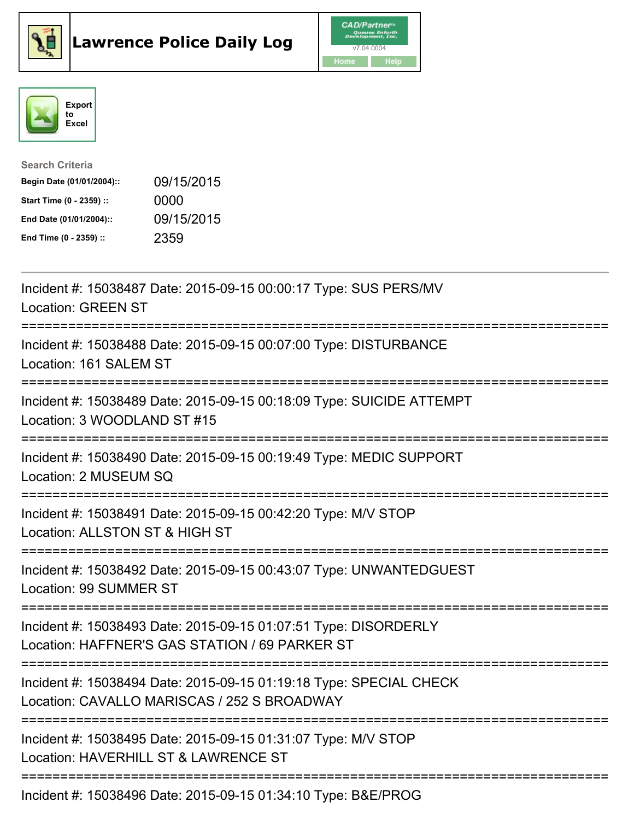





| <b>Search Criteria</b>    |            |
|---------------------------|------------|
| Begin Date (01/01/2004):: | 09/15/2015 |
| Start Time (0 - 2359) ::  | 0000       |
| End Date (01/01/2004)::   | 09/15/2015 |
| End Time (0 - 2359) ::    | 2359       |

| Incident #: 15038487 Date: 2015-09-15 00:00:17 Type: SUS PERS/MV<br><b>Location: GREEN ST</b>                                                            |
|----------------------------------------------------------------------------------------------------------------------------------------------------------|
| Incident #: 15038488 Date: 2015-09-15 00:07:00 Type: DISTURBANCE<br>Location: 161 SALEM ST                                                               |
| Incident #: 15038489 Date: 2015-09-15 00:18:09 Type: SUICIDE ATTEMPT<br>Location: 3 WOODLAND ST #15                                                      |
| Incident #: 15038490 Date: 2015-09-15 00:19:49 Type: MEDIC SUPPORT<br>Location: 2 MUSEUM SQ                                                              |
| Incident #: 15038491 Date: 2015-09-15 00:42:20 Type: M/V STOP<br>Location: ALLSTON ST & HIGH ST<br>--------------                                        |
| Incident #: 15038492 Date: 2015-09-15 00:43:07 Type: UNWANTEDGUEST<br>Location: 99 SUMMER ST                                                             |
| Incident #: 15038493 Date: 2015-09-15 01:07:51 Type: DISORDERLY<br>Location: HAFFNER'S GAS STATION / 69 PARKER ST                                        |
| Incident #: 15038494 Date: 2015-09-15 01:19:18 Type: SPECIAL CHECK<br>Location: CAVALLO MARISCAS / 252 S BROADWAY<br>----------------------------------- |
| Incident #: 15038495 Date: 2015-09-15 01:31:07 Type: M/V STOP<br>Location: HAVERHILL ST & LAWRENCE ST                                                    |
| Incident #: 15038496 Date: 2015-09-15 01:34:10 Type: B&E/PROG                                                                                            |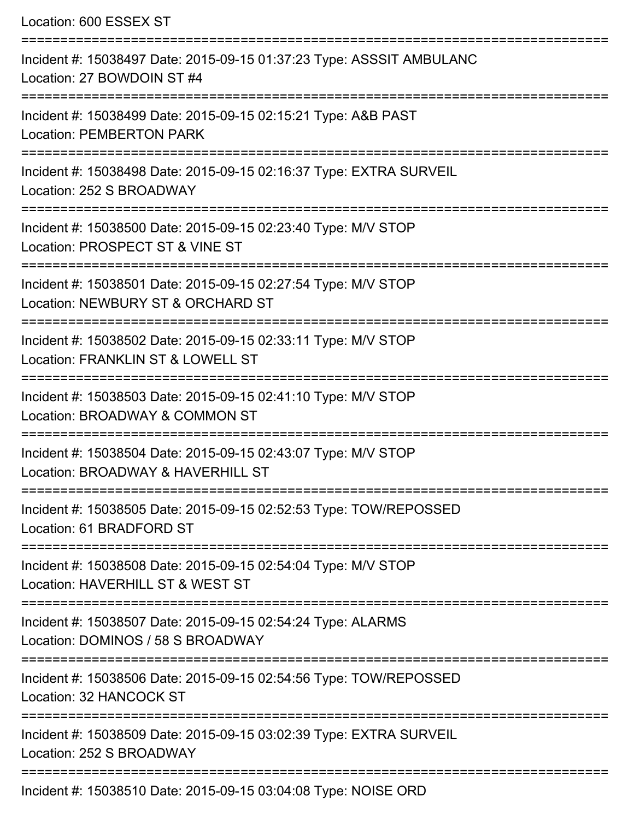| Location: 600 ESSEX ST                                                                                                          |
|---------------------------------------------------------------------------------------------------------------------------------|
| Incident #: 15038497 Date: 2015-09-15 01:37:23 Type: ASSSIT AMBULANC<br>Location: 27 BOWDOIN ST #4                              |
| Incident #: 15038499 Date: 2015-09-15 02:15:21 Type: A&B PAST<br><b>Location: PEMBERTON PARK</b>                                |
| Incident #: 15038498 Date: 2015-09-15 02:16:37 Type: EXTRA SURVEIL<br>Location: 252 S BROADWAY                                  |
| Incident #: 15038500 Date: 2015-09-15 02:23:40 Type: M/V STOP<br>Location: PROSPECT ST & VINE ST                                |
| Incident #: 15038501 Date: 2015-09-15 02:27:54 Type: M/V STOP<br>Location: NEWBURY ST & ORCHARD ST                              |
| :========================<br>Incident #: 15038502 Date: 2015-09-15 02:33:11 Type: M/V STOP<br>Location: FRANKLIN ST & LOWELL ST |
| Incident #: 15038503 Date: 2015-09-15 02:41:10 Type: M/V STOP<br>Location: BROADWAY & COMMON ST                                 |
| Incident #: 15038504 Date: 2015-09-15 02:43:07 Type: M/V STOP<br>Location: BROADWAY & HAVERHILL ST                              |
| Incident #: 15038505 Date: 2015-09-15 02:52:53 Type: TOW/REPOSSED<br>Location: 61 BRADFORD ST                                   |
| Incident #: 15038508 Date: 2015-09-15 02:54:04 Type: M/V STOP<br>Location: HAVERHILL ST & WEST ST                               |
| Incident #: 15038507 Date: 2015-09-15 02:54:24 Type: ALARMS<br>Location: DOMINOS / 58 S BROADWAY                                |
| Incident #: 15038506 Date: 2015-09-15 02:54:56 Type: TOW/REPOSSED<br>Location: 32 HANCOCK ST                                    |
| Incident #: 15038509 Date: 2015-09-15 03:02:39 Type: EXTRA SURVEIL<br>Location: 252 S BROADWAY                                  |
| Incident #: 15038510 Date: 2015-09-15 03:04:08 Type: NOISE ORD                                                                  |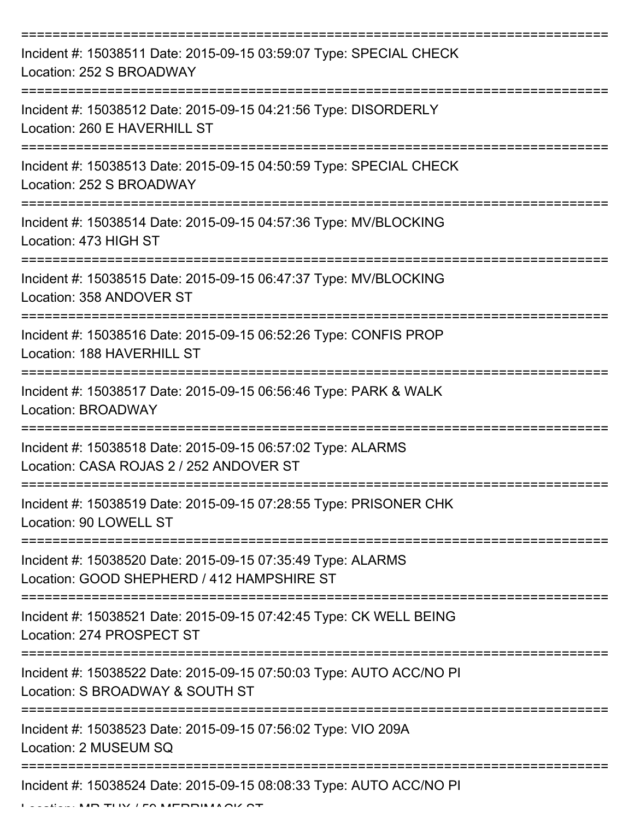| Incident #: 15038511 Date: 2015-09-15 03:59:07 Type: SPECIAL CHECK<br>Location: 252 S BROADWAY            |
|-----------------------------------------------------------------------------------------------------------|
| Incident #: 15038512 Date: 2015-09-15 04:21:56 Type: DISORDERLY<br>Location: 260 E HAVERHILL ST           |
| Incident #: 15038513 Date: 2015-09-15 04:50:59 Type: SPECIAL CHECK<br>Location: 252 S BROADWAY            |
| Incident #: 15038514 Date: 2015-09-15 04:57:36 Type: MV/BLOCKING<br>Location: 473 HIGH ST                 |
| Incident #: 15038515 Date: 2015-09-15 06:47:37 Type: MV/BLOCKING<br>Location: 358 ANDOVER ST              |
| Incident #: 15038516 Date: 2015-09-15 06:52:26 Type: CONFIS PROP<br>Location: 188 HAVERHILL ST            |
| Incident #: 15038517 Date: 2015-09-15 06:56:46 Type: PARK & WALK<br>Location: BROADWAY                    |
| Incident #: 15038518 Date: 2015-09-15 06:57:02 Type: ALARMS<br>Location: CASA ROJAS 2 / 252 ANDOVER ST    |
| Incident #: 15038519 Date: 2015-09-15 07:28:55 Type: PRISONER CHK<br>Location: 90 LOWELL ST               |
| Incident #: 15038520 Date: 2015-09-15 07:35:49 Type: ALARMS<br>Location: GOOD SHEPHERD / 412 HAMPSHIRE ST |
| Incident #: 15038521 Date: 2015-09-15 07:42:45 Type: CK WELL BEING<br>Location: 274 PROSPECT ST           |
| Incident #: 15038522 Date: 2015-09-15 07:50:03 Type: AUTO ACC/NO PI<br>Location: S BROADWAY & SOUTH ST    |
| Incident #: 15038523 Date: 2015-09-15 07:56:02 Type: VIO 209A<br>Location: 2 MUSEUM SQ                    |
| Incident #: 15038524 Date: 2015-09-15 08:08:33 Type: AUTO ACC/NO PI                                       |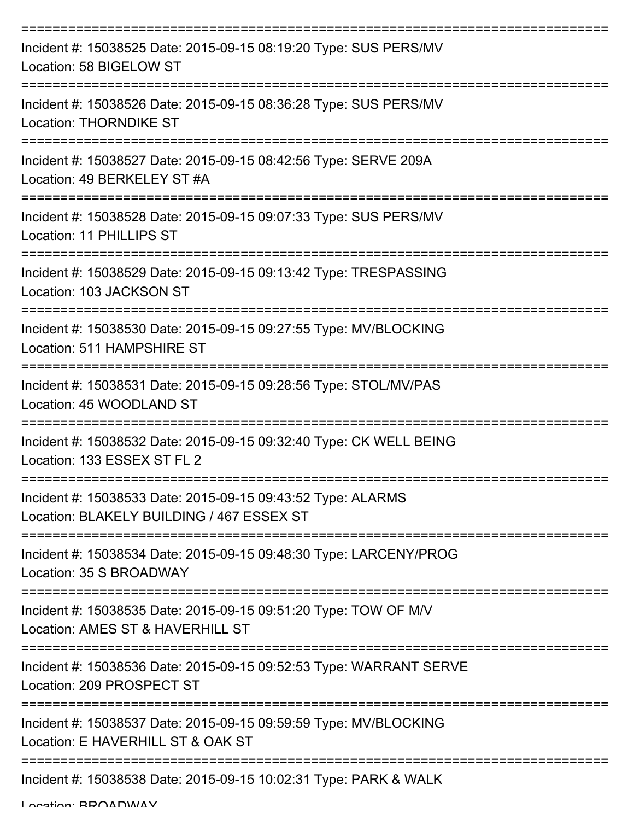| Incident #: 15038525 Date: 2015-09-15 08:19:20 Type: SUS PERS/MV<br>Location: 58 BIGELOW ST              |
|----------------------------------------------------------------------------------------------------------|
| Incident #: 15038526 Date: 2015-09-15 08:36:28 Type: SUS PERS/MV<br><b>Location: THORNDIKE ST</b>        |
| Incident #: 15038527 Date: 2015-09-15 08:42:56 Type: SERVE 209A<br>Location: 49 BERKELEY ST #A           |
| Incident #: 15038528 Date: 2015-09-15 09:07:33 Type: SUS PERS/MV<br>Location: 11 PHILLIPS ST             |
| Incident #: 15038529 Date: 2015-09-15 09:13:42 Type: TRESPASSING<br>Location: 103 JACKSON ST             |
| Incident #: 15038530 Date: 2015-09-15 09:27:55 Type: MV/BLOCKING<br>Location: 511 HAMPSHIRE ST           |
| Incident #: 15038531 Date: 2015-09-15 09:28:56 Type: STOL/MV/PAS<br>Location: 45 WOODLAND ST             |
| Incident #: 15038532 Date: 2015-09-15 09:32:40 Type: CK WELL BEING<br>Location: 133 ESSEX ST FL 2        |
| Incident #: 15038533 Date: 2015-09-15 09:43:52 Type: ALARMS<br>Location: BLAKELY BUILDING / 467 ESSEX ST |
| Incident #: 15038534 Date: 2015-09-15 09:48:30 Type: LARCENY/PROG<br>Location: 35 S BROADWAY             |
| Incident #: 15038535 Date: 2015-09-15 09:51:20 Type: TOW OF M/V<br>Location: AMES ST & HAVERHILL ST      |
| Incident #: 15038536 Date: 2015-09-15 09:52:53 Type: WARRANT SERVE<br>Location: 209 PROSPECT ST          |
| Incident #: 15038537 Date: 2015-09-15 09:59:59 Type: MV/BLOCKING<br>Location: E HAVERHILL ST & OAK ST    |
| Incident #: 15038538 Date: 2015-09-15 10:02:31 Type: PARK & WALK                                         |

Location: BDOADWAY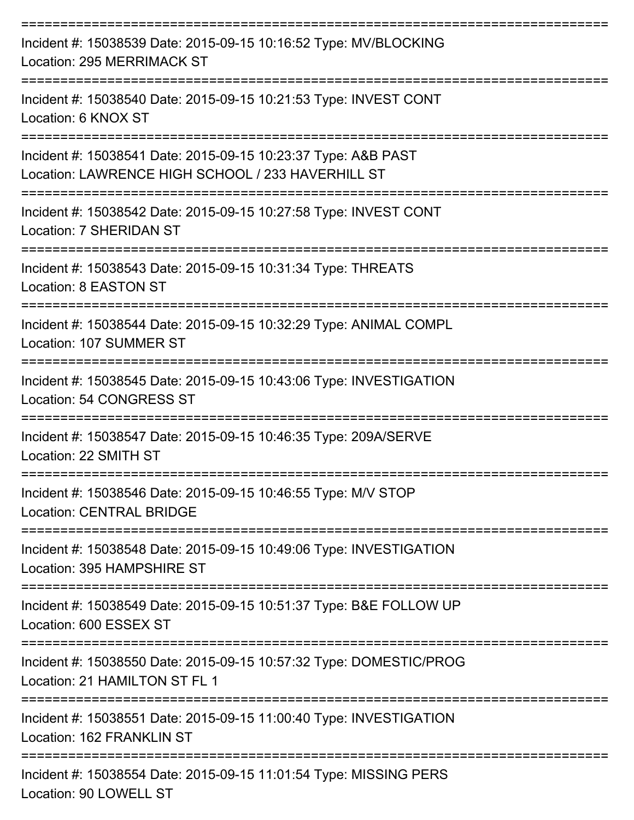| Incident #: 15038539 Date: 2015-09-15 10:16:52 Type: MV/BLOCKING<br>Location: 295 MERRIMACK ST                                  |
|---------------------------------------------------------------------------------------------------------------------------------|
| Incident #: 15038540 Date: 2015-09-15 10:21:53 Type: INVEST CONT<br>Location: 6 KNOX ST                                         |
| Incident #: 15038541 Date: 2015-09-15 10:23:37 Type: A&B PAST<br>Location: LAWRENCE HIGH SCHOOL / 233 HAVERHILL ST              |
| Incident #: 15038542 Date: 2015-09-15 10:27:58 Type: INVEST CONT<br>Location: 7 SHERIDAN ST                                     |
| Incident #: 15038543 Date: 2015-09-15 10:31:34 Type: THREATS<br>Location: 8 EASTON ST                                           |
| Incident #: 15038544 Date: 2015-09-15 10:32:29 Type: ANIMAL COMPL<br>Location: 107 SUMMER ST                                    |
| Incident #: 15038545 Date: 2015-09-15 10:43:06 Type: INVESTIGATION<br><b>Location: 54 CONGRESS ST</b>                           |
| Incident #: 15038547 Date: 2015-09-15 10:46:35 Type: 209A/SERVE<br>Location: 22 SMITH ST                                        |
| Incident #: 15038546 Date: 2015-09-15 10:46:55 Type: M/V STOP<br><b>Location: CENTRAL BRIDGE</b>                                |
| --------------<br>Incident #: 15038548 Date: 2015-09-15 10:49:06 Type: INVESTIGATION<br>Location: 395 HAMPSHIRE ST              |
| Incident #: 15038549 Date: 2015-09-15 10:51:37 Type: B&E FOLLOW UP<br>Location: 600 ESSEX ST                                    |
| ========================<br>Incident #: 15038550 Date: 2015-09-15 10:57:32 Type: DOMESTIC/PROG<br>Location: 21 HAMILTON ST FL 1 |
| Incident #: 15038551 Date: 2015-09-15 11:00:40 Type: INVESTIGATION<br>Location: 162 FRANKLIN ST                                 |
| Incident #: 15038554 Date: 2015-09-15 11:01:54 Type: MISSING PERS<br>Location: 90 LOWELL ST                                     |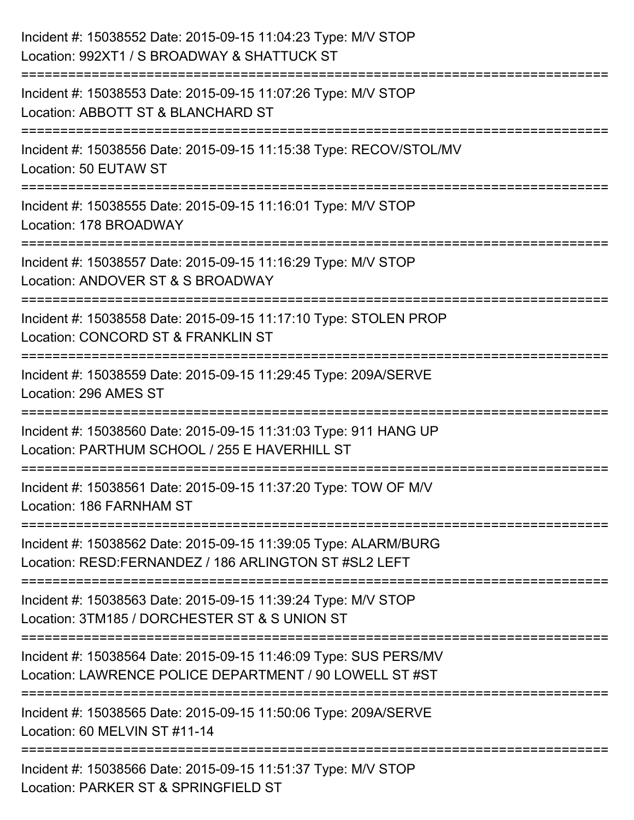| Incident #: 15038552 Date: 2015-09-15 11:04:23 Type: M/V STOP<br>Location: 992XT1 / S BROADWAY & SHATTUCK ST                |
|-----------------------------------------------------------------------------------------------------------------------------|
| Incident #: 15038553 Date: 2015-09-15 11:07:26 Type: M/V STOP<br>Location: ABBOTT ST & BLANCHARD ST                         |
| Incident #: 15038556 Date: 2015-09-15 11:15:38 Type: RECOV/STOL/MV<br>Location: 50 EUTAW ST                                 |
| Incident #: 15038555 Date: 2015-09-15 11:16:01 Type: M/V STOP<br>Location: 178 BROADWAY                                     |
| Incident #: 15038557 Date: 2015-09-15 11:16:29 Type: M/V STOP<br>Location: ANDOVER ST & S BROADWAY<br>-----------------     |
| Incident #: 15038558 Date: 2015-09-15 11:17:10 Type: STOLEN PROP<br>Location: CONCORD ST & FRANKLIN ST                      |
| Incident #: 15038559 Date: 2015-09-15 11:29:45 Type: 209A/SERVE<br>Location: 296 AMES ST                                    |
| Incident #: 15038560 Date: 2015-09-15 11:31:03 Type: 911 HANG UP<br>Location: PARTHUM SCHOOL / 255 E HAVERHILL ST           |
| Incident #: 15038561 Date: 2015-09-15 11:37:20 Type: TOW OF M/V<br>Location: 186 FARNHAM ST                                 |
| Incident #: 15038562 Date: 2015-09-15 11:39:05 Type: ALARM/BURG<br>Location: RESD:FERNANDEZ / 186 ARLINGTON ST #SL2 LEFT    |
| Incident #: 15038563 Date: 2015-09-15 11:39:24 Type: M/V STOP<br>Location: 3TM185 / DORCHESTER ST & S UNION ST              |
| Incident #: 15038564 Date: 2015-09-15 11:46:09 Type: SUS PERS/MV<br>Location: LAWRENCE POLICE DEPARTMENT / 90 LOWELL ST #ST |
| Incident #: 15038565 Date: 2015-09-15 11:50:06 Type: 209A/SERVE<br>Location: 60 MELVIN ST #11-14                            |
| Incident #: 15038566 Date: 2015-09-15 11:51:37 Type: M/V STOP<br>Location: PARKER ST & SPRINGFIELD ST                       |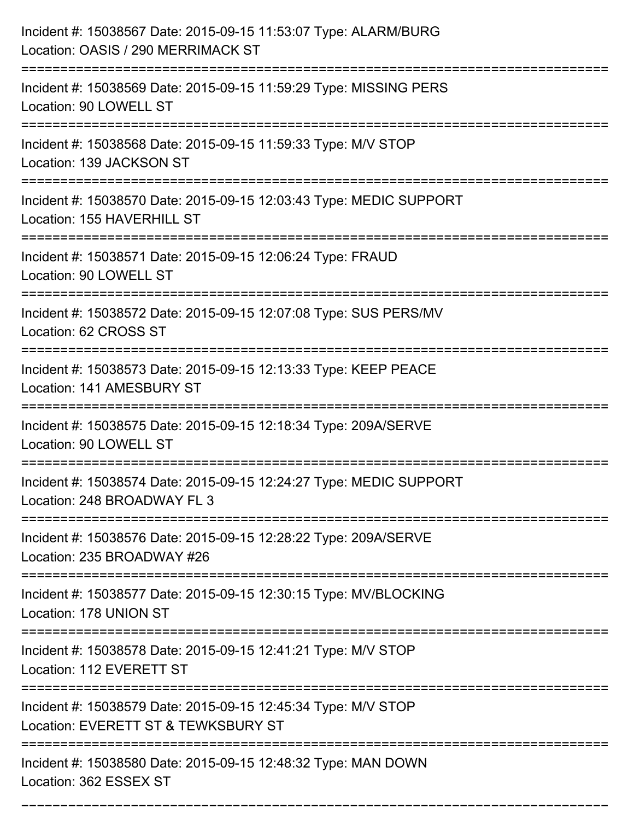| Incident #: 15038567 Date: 2015-09-15 11:53:07 Type: ALARM/BURG<br>Location: OASIS / 290 MERRIMACK ST<br>------------------- |
|------------------------------------------------------------------------------------------------------------------------------|
| Incident #: 15038569 Date: 2015-09-15 11:59:29 Type: MISSING PERS<br>Location: 90 LOWELL ST                                  |
| Incident #: 15038568 Date: 2015-09-15 11:59:33 Type: M/V STOP<br>Location: 139 JACKSON ST                                    |
| Incident #: 15038570 Date: 2015-09-15 12:03:43 Type: MEDIC SUPPORT<br>Location: 155 HAVERHILL ST                             |
| Incident #: 15038571 Date: 2015-09-15 12:06:24 Type: FRAUD<br>Location: 90 LOWELL ST                                         |
| Incident #: 15038572 Date: 2015-09-15 12:07:08 Type: SUS PERS/MV<br>Location: 62 CROSS ST                                    |
| Incident #: 15038573 Date: 2015-09-15 12:13:33 Type: KEEP PEACE<br>Location: 141 AMESBURY ST                                 |
| Incident #: 15038575 Date: 2015-09-15 12:18:34 Type: 209A/SERVE<br>Location: 90 LOWELL ST                                    |
| Incident #: 15038574 Date: 2015-09-15 12:24:27 Type: MEDIC SUPPORT<br>Location: 248 BROADWAY FL 3                            |
| Incident #: 15038576 Date: 2015-09-15 12:28:22 Type: 209A/SERVE<br>Location: 235 BROADWAY #26                                |
| Incident #: 15038577 Date: 2015-09-15 12:30:15 Type: MV/BLOCKING<br>Location: 178 UNION ST                                   |
| Incident #: 15038578 Date: 2015-09-15 12:41:21 Type: M/V STOP<br>Location: 112 EVERETT ST                                    |
| ==========<br>Incident #: 15038579 Date: 2015-09-15 12:45:34 Type: M/V STOP<br>Location: EVERETT ST & TEWKSBURY ST           |
| Incident #: 15038580 Date: 2015-09-15 12:48:32 Type: MAN DOWN<br>Location: 362 ESSEX ST                                      |

===========================================================================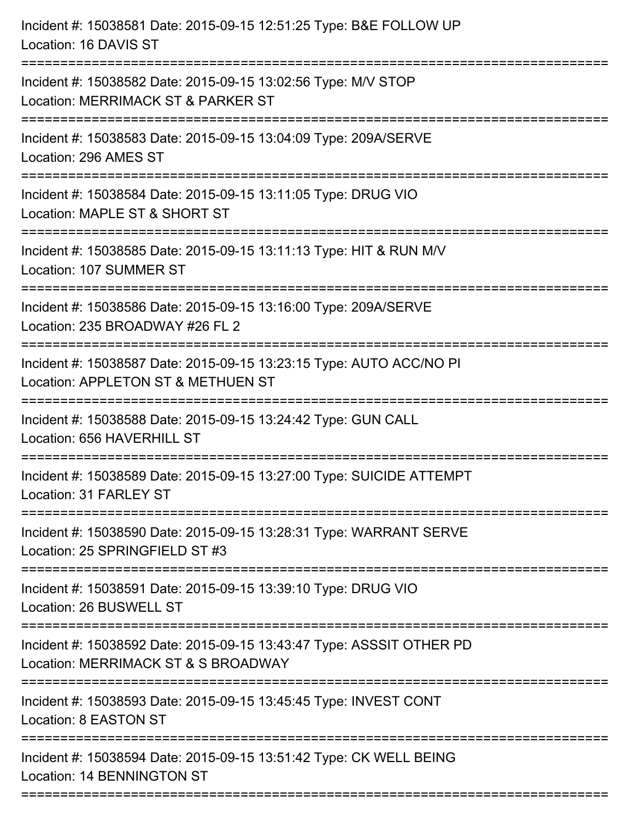| Incident #: 15038581 Date: 2015-09-15 12:51:25 Type: B&E FOLLOW UP<br>Location: 16 DAVIS ST                                         |
|-------------------------------------------------------------------------------------------------------------------------------------|
| Incident #: 15038582 Date: 2015-09-15 13:02:56 Type: M/V STOP<br>Location: MERRIMACK ST & PARKER ST                                 |
| Incident #: 15038583 Date: 2015-09-15 13:04:09 Type: 209A/SERVE<br>Location: 296 AMES ST                                            |
| Incident #: 15038584 Date: 2015-09-15 13:11:05 Type: DRUG VIO<br>Location: MAPLE ST & SHORT ST                                      |
| Incident #: 15038585 Date: 2015-09-15 13:11:13 Type: HIT & RUN M/V<br>Location: 107 SUMMER ST                                       |
| Incident #: 15038586 Date: 2015-09-15 13:16:00 Type: 209A/SERVE<br>Location: 235 BROADWAY #26 FL 2                                  |
| Incident #: 15038587 Date: 2015-09-15 13:23:15 Type: AUTO ACC/NO PI<br>Location: APPLETON ST & METHUEN ST<br>====================== |
| Incident #: 15038588 Date: 2015-09-15 13:24:42 Type: GUN CALL<br>Location: 656 HAVERHILL ST                                         |
| Incident #: 15038589 Date: 2015-09-15 13:27:00 Type: SUICIDE ATTEMPT<br>Location: 31 FARLEY ST                                      |
| ===================<br>Incident #: 15038590 Date: 2015-09-15 13:28:31 Type: WARRANT SERVE<br>Location: 25 SPRINGFIELD ST #3         |
| Incident #: 15038591 Date: 2015-09-15 13:39:10 Type: DRUG VIO<br>Location: 26 BUSWELL ST                                            |
| Incident #: 15038592 Date: 2015-09-15 13:43:47 Type: ASSSIT OTHER PD<br>Location: MERRIMACK ST & S BROADWAY                         |
| Incident #: 15038593 Date: 2015-09-15 13:45:45 Type: INVEST CONT<br>Location: 8 EASTON ST                                           |
| Incident #: 15038594 Date: 2015-09-15 13:51:42 Type: CK WELL BEING<br>Location: 14 BENNINGTON ST                                    |
|                                                                                                                                     |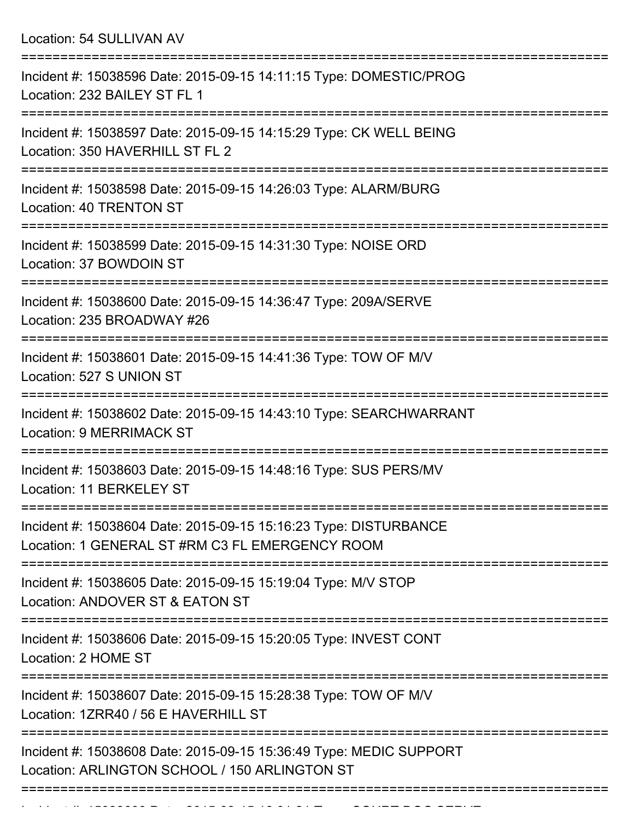Location: 54 SULLIVAN AV

| Incident #: 15038596 Date: 2015-09-15 14:11:15 Type: DOMESTIC/PROG<br>Location: 232 BAILEY ST FL 1                  |
|---------------------------------------------------------------------------------------------------------------------|
| Incident #: 15038597 Date: 2015-09-15 14:15:29 Type: CK WELL BEING<br>Location: 350 HAVERHILL ST FL 2               |
| Incident #: 15038598 Date: 2015-09-15 14:26:03 Type: ALARM/BURG<br>Location: 40 TRENTON ST                          |
| Incident #: 15038599 Date: 2015-09-15 14:31:30 Type: NOISE ORD<br>Location: 37 BOWDOIN ST                           |
| Incident #: 15038600 Date: 2015-09-15 14:36:47 Type: 209A/SERVE<br>Location: 235 BROADWAY #26                       |
| Incident #: 15038601 Date: 2015-09-15 14:41:36 Type: TOW OF M/V<br>Location: 527 S UNION ST                         |
| Incident #: 15038602 Date: 2015-09-15 14:43:10 Type: SEARCHWARRANT<br><b>Location: 9 MERRIMACK ST</b>               |
| Incident #: 15038603 Date: 2015-09-15 14:48:16 Type: SUS PERS/MV<br>Location: 11 BERKELEY ST                        |
| Incident #: 15038604 Date: 2015-09-15 15:16:23 Type: DISTURBANCE<br>Location: 1 GENERAL ST #RM C3 FL EMERGENCY ROOM |
| Incident #: 15038605 Date: 2015-09-15 15:19:04 Type: M/V STOP<br>Location: ANDOVER ST & EATON ST                    |
| Incident #: 15038606 Date: 2015-09-15 15:20:05 Type: INVEST CONT<br>Location: 2 HOME ST                             |
| Incident #: 15038607 Date: 2015-09-15 15:28:38 Type: TOW OF M/V<br>Location: 1ZRR40 / 56 E HAVERHILL ST             |
| Incident #: 15038608 Date: 2015-09-15 15:36:49 Type: MEDIC SUPPORT<br>Location: ARLINGTON SCHOOL / 150 ARLINGTON ST |
|                                                                                                                     |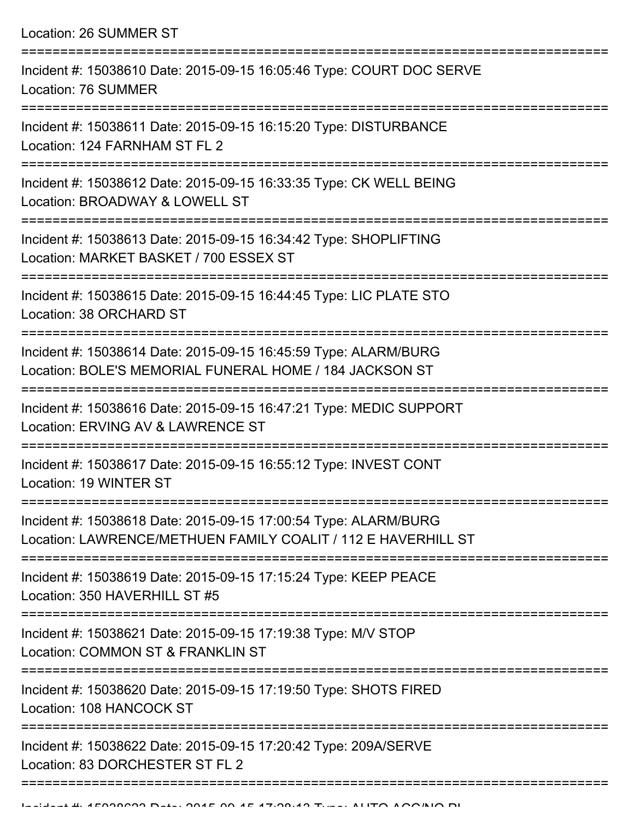Location: 26 SUMMER ST

| Incident #: 15038610 Date: 2015-09-15 16:05:46 Type: COURT DOC SERVE<br>Location: 76 SUMMER                                      |
|----------------------------------------------------------------------------------------------------------------------------------|
| Incident #: 15038611 Date: 2015-09-15 16:15:20 Type: DISTURBANCE<br>Location: 124 FARNHAM ST FL 2                                |
| Incident #: 15038612 Date: 2015-09-15 16:33:35 Type: CK WELL BEING<br>Location: BROADWAY & LOWELL ST                             |
| Incident #: 15038613 Date: 2015-09-15 16:34:42 Type: SHOPLIFTING<br>Location: MARKET BASKET / 700 ESSEX ST                       |
| Incident #: 15038615 Date: 2015-09-15 16:44:45 Type: LIC PLATE STO<br>Location: 38 ORCHARD ST                                    |
| Incident #: 15038614 Date: 2015-09-15 16:45:59 Type: ALARM/BURG<br>Location: BOLE'S MEMORIAL FUNERAL HOME / 184 JACKSON ST       |
| Incident #: 15038616 Date: 2015-09-15 16:47:21 Type: MEDIC SUPPORT<br>Location: ERVING AV & LAWRENCE ST                          |
| Incident #: 15038617 Date: 2015-09-15 16:55:12 Type: INVEST CONT<br>Location: 19 WINTER ST                                       |
| Incident #: 15038618 Date: 2015-09-15 17:00:54 Type: ALARM/BURG<br>Location: LAWRENCE/METHUEN FAMILY COALIT / 112 E HAVERHILL ST |
| Incident #: 15038619 Date: 2015-09-15 17:15:24 Type: KEEP PEACE<br>Location: 350 HAVERHILL ST #5                                 |
| Incident #: 15038621 Date: 2015-09-15 17:19:38 Type: M/V STOP<br>Location: COMMON ST & FRANKLIN ST                               |
| Incident #: 15038620 Date: 2015-09-15 17:19:50 Type: SHOTS FIRED<br>Location: 108 HANCOCK ST                                     |
| Incident #: 15038622 Date: 2015-09-15 17:20:42 Type: 209A/SERVE<br>Location: 83 DORCHESTER ST FL 2                               |
|                                                                                                                                  |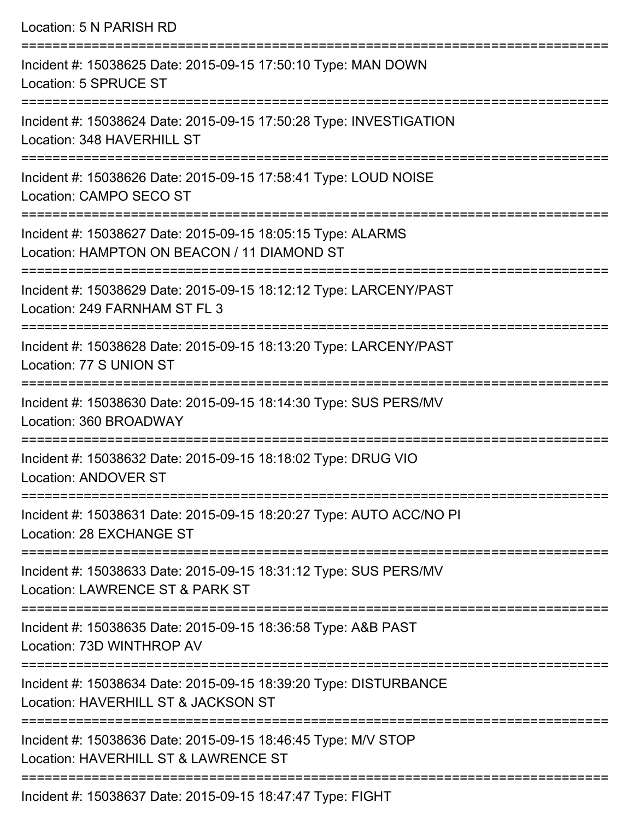Location: 5 N PARISH RD =========================================================================== Incident #: 15038625 Date: 2015-09-15 17:50:10 Type: MAN DOWN Location: 5 SPRUCE ST =========================================================================== Incident #: 15038624 Date: 2015-09-15 17:50:28 Type: INVESTIGATION Location: 348 HAVERHILL ST =========================================================================== Incident #: 15038626 Date: 2015-09-15 17:58:41 Type: LOUD NOISE Location: CAMPO SECO ST =========================================================================== Incident #: 15038627 Date: 2015-09-15 18:05:15 Type: ALARMS Location: HAMPTON ON BEACON / 11 DIAMOND ST =========================================================================== Incident #: 15038629 Date: 2015-09-15 18:12:12 Type: LARCENY/PAST Location: 249 FARNHAM ST FL 3 =========================================================================== Incident #: 15038628 Date: 2015-09-15 18:13:20 Type: LARCENY/PAST Location: 77 S UNION ST =========================================================================== Incident #: 15038630 Date: 2015-09-15 18:14:30 Type: SUS PERS/MV Location: 360 BROADWAY =========================================================================== Incident #: 15038632 Date: 2015-09-15 18:18:02 Type: DRUG VIO Location: ANDOVER ST =========================================================================== Incident #: 15038631 Date: 2015-09-15 18:20:27 Type: AUTO ACC/NO PI Location: 28 EXCHANGE ST =========================================================================== Incident #: 15038633 Date: 2015-09-15 18:31:12 Type: SUS PERS/MV Location: LAWRENCE ST & PARK ST =========================================================================== Incident #: 15038635 Date: 2015-09-15 18:36:58 Type: A&B PAST Location: 73D WINTHROP AV =========================================================================== Incident #: 15038634 Date: 2015-09-15 18:39:20 Type: DISTURBANCE Location: HAVERHILL ST & JACKSON ST =========================================================================== Incident #: 15038636 Date: 2015-09-15 18:46:45 Type: M/V STOP Location: HAVERHILL ST & LAWRENCE ST ===========================================================================

Incident #: 15038637 Date: 2015-09-15 18:47:47 Type: FIGHT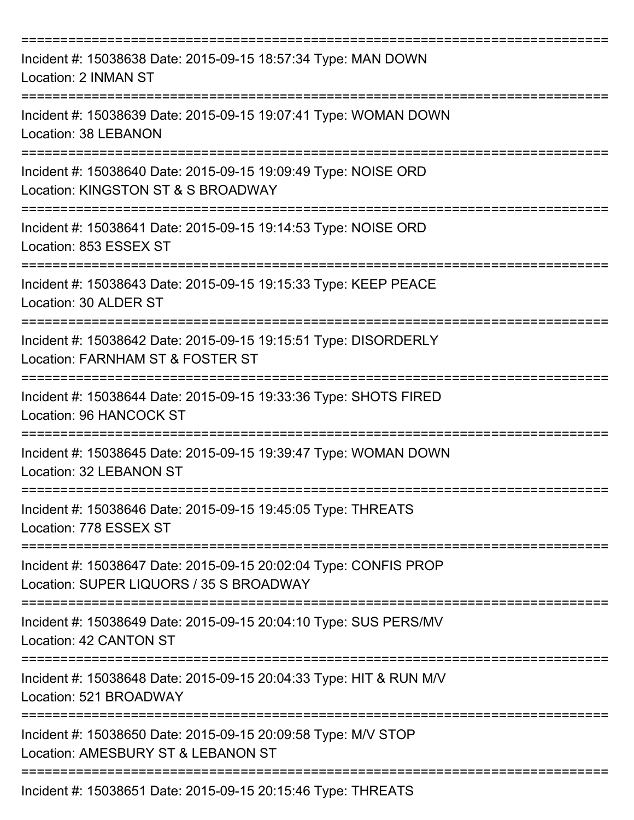| Incident #: 15038638 Date: 2015-09-15 18:57:34 Type: MAN DOWN<br>Location: 2 INMAN ST                       |
|-------------------------------------------------------------------------------------------------------------|
| Incident #: 15038639 Date: 2015-09-15 19:07:41 Type: WOMAN DOWN<br>Location: 38 LEBANON                     |
| Incident #: 15038640 Date: 2015-09-15 19:09:49 Type: NOISE ORD<br>Location: KINGSTON ST & S BROADWAY        |
| Incident #: 15038641 Date: 2015-09-15 19:14:53 Type: NOISE ORD<br>Location: 853 ESSEX ST                    |
| Incident #: 15038643 Date: 2015-09-15 19:15:33 Type: KEEP PEACE<br>Location: 30 ALDER ST                    |
| Incident #: 15038642 Date: 2015-09-15 19:15:51 Type: DISORDERLY<br>Location: FARNHAM ST & FOSTER ST         |
| Incident #: 15038644 Date: 2015-09-15 19:33:36 Type: SHOTS FIRED<br>Location: 96 HANCOCK ST                 |
| Incident #: 15038645 Date: 2015-09-15 19:39:47 Type: WOMAN DOWN<br>Location: 32 LEBANON ST                  |
| Incident #: 15038646 Date: 2015-09-15 19:45:05 Type: THREATS<br>Location: 778 ESSEX ST                      |
| Incident #: 15038647 Date: 2015-09-15 20:02:04 Type: CONFIS PROP<br>Location: SUPER LIQUORS / 35 S BROADWAY |
| Incident #: 15038649 Date: 2015-09-15 20:04:10 Type: SUS PERS/MV<br>Location: 42 CANTON ST                  |
| Incident #: 15038648 Date: 2015-09-15 20:04:33 Type: HIT & RUN M/V<br>Location: 521 BROADWAY                |
| Incident #: 15038650 Date: 2015-09-15 20:09:58 Type: M/V STOP<br>Location: AMESBURY ST & LEBANON ST         |
| Incident #: 15038651 Date: 2015-09-15 20:15:46 Type: THREATS                                                |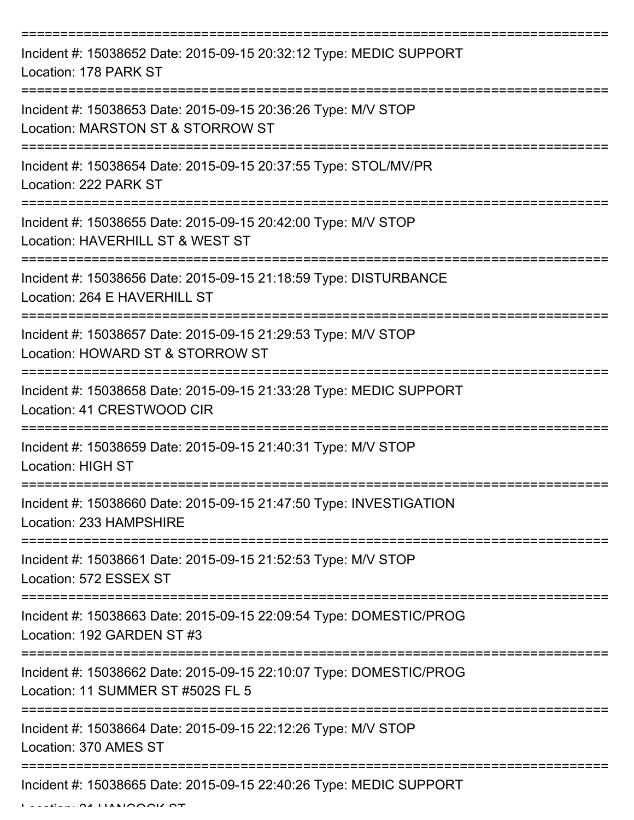| Incident #: 15038652 Date: 2015-09-15 20:32:12 Type: MEDIC SUPPORT<br>Location: 178 PARK ST             |
|---------------------------------------------------------------------------------------------------------|
| Incident #: 15038653 Date: 2015-09-15 20:36:26 Type: M/V STOP<br>Location: MARSTON ST & STORROW ST      |
| Incident #: 15038654 Date: 2015-09-15 20:37:55 Type: STOL/MV/PR<br>Location: 222 PARK ST                |
| Incident #: 15038655 Date: 2015-09-15 20:42:00 Type: M/V STOP<br>Location: HAVERHILL ST & WEST ST       |
| Incident #: 15038656 Date: 2015-09-15 21:18:59 Type: DISTURBANCE<br>Location: 264 E HAVERHILL ST        |
| Incident #: 15038657 Date: 2015-09-15 21:29:53 Type: M/V STOP<br>Location: HOWARD ST & STORROW ST       |
| Incident #: 15038658 Date: 2015-09-15 21:33:28 Type: MEDIC SUPPORT<br>Location: 41 CRESTWOOD CIR        |
| Incident #: 15038659 Date: 2015-09-15 21:40:31 Type: M/V STOP<br><b>Location: HIGH ST</b>               |
| Incident #: 15038660 Date: 2015-09-15 21:47:50 Type: INVESTIGATION<br>Location: 233 HAMPSHIRE           |
| Incident #: 15038661 Date: 2015-09-15 21:52:53 Type: M/V STOP<br>Location: 572 ESSEX ST                 |
| Incident #: 15038663 Date: 2015-09-15 22:09:54 Type: DOMESTIC/PROG<br>Location: 192 GARDEN ST #3        |
| Incident #: 15038662 Date: 2015-09-15 22:10:07 Type: DOMESTIC/PROG<br>Location: 11 SUMMER ST #502S FL 5 |
| Incident #: 15038664 Date: 2015-09-15 22:12:26 Type: M/V STOP<br>Location: 370 AMES ST                  |
| Incident #: 15038665 Date: 2015-09-15 22:40:26 Type: MEDIC SUPPORT                                      |

 $L = L$   $L = L$   $\alpha$  HANOON ST